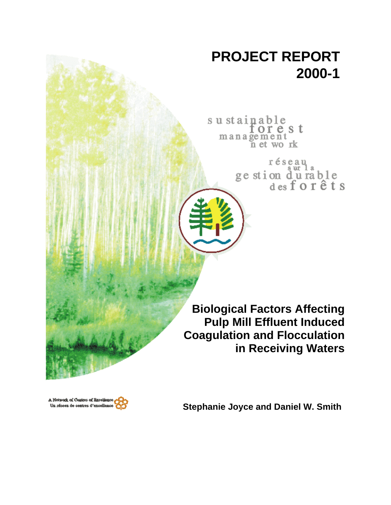# **PROJECT REPORT 2000-1**

sustainable orest management n et work

> réseau ge stion du rable<br>desforêts

**Biological Factors Affecting Pulp Mill Effluent Induced Coagulation and Flocculation in Receiving Waters**



**Stephanie Joyce and Daniel W. Smith**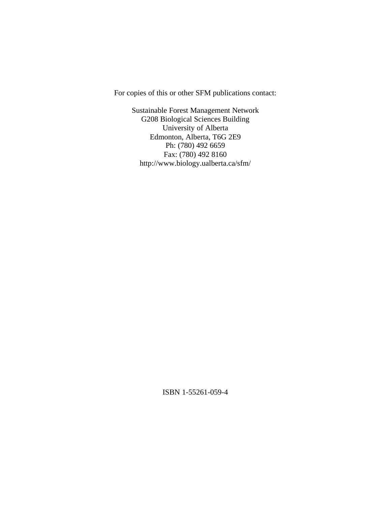For copies of this or other SFM publications contact:

Sustainable Forest Management Network G208 Biological Sciences Building University of Alberta Edmonton, Alberta, T6G 2E9 Ph: (780) 492 6659 Fax: (780) 492 8160 http://www.biology.ualberta.ca/sfm/

ISBN 1-55261-059-4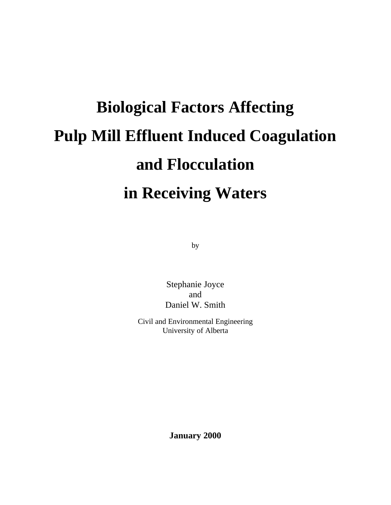# **Biological Factors Affecting Pulp Mill Effluent Induced Coagulation and Flocculation in Receiving Waters**

by

Stephanie Joyce and Daniel W. Smith

Civil and Environmental Engineering University of Alberta

**January 2000**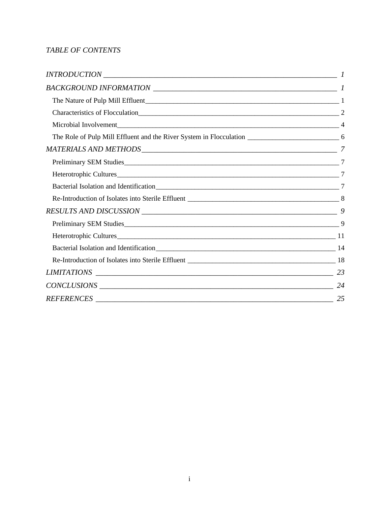#### *TABLE OF CONTENTS*

| Heterotrophic Cultures |    |
|------------------------|----|
|                        |    |
|                        |    |
|                        |    |
|                        | 24 |
|                        | 25 |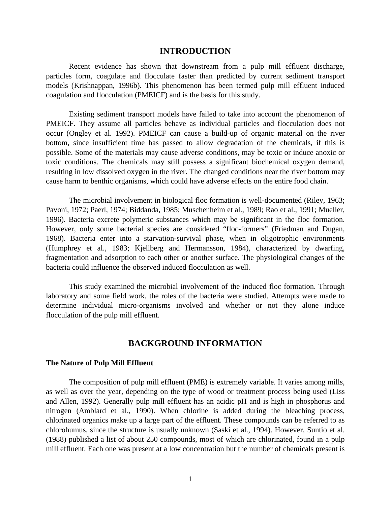#### **INTRODUCTION**

Recent evidence has shown that downstream from a pulp mill effluent discharge, particles form, coagulate and flocculate faster than predicted by current sediment transport models (Krishnappan, 1996b). This phenomenon has been termed pulp mill effluent induced coagulation and flocculation (PMEICF) and is the basis for this study.

Existing sediment transport models have failed to take into account the phenomenon of PMEICF. They assume all particles behave as individual particles and flocculation does not occur (Ongley et al. 1992). PMEICF can cause a build-up of organic material on the river bottom, since insufficient time has passed to allow degradation of the chemicals, if this is possible. Some of the materials may cause adverse conditions, may be toxic or induce anoxic or toxic conditions. The chemicals may still possess a significant biochemical oxygen demand, resulting in low dissolved oxygen in the river. The changed conditions near the river bottom may cause harm to benthic organisms, which could have adverse effects on the entire food chain.

The microbial involvement in biological floc formation is well-documented (Riley, 1963; Pavoni, 1972; Paerl, 1974; Biddanda, 1985; Muschenheim et al., 1989; Rao et al., 1991; Mueller, 1996). Bacteria excrete polymeric substances which may be significant in the floc formation. However, only some bacterial species are considered "floc-formers" (Friedman and Dugan, 1968). Bacteria enter into a starvation-survival phase, when in oligotrophic environments (Humphrey et al., 1983; Kjellberg and Hermansson, 1984), characterized by dwarfing, fragmentation and adsorption to each other or another surface. The physiological changes of the bacteria could influence the observed induced flocculation as well.

This study examined the microbial involvement of the induced floc formation. Through laboratory and some field work, the roles of the bacteria were studied. Attempts were made to determine individual micro-organisms involved and whether or not they alone induce flocculation of the pulp mill effluent.

#### **BACKGROUND INFORMATION**

#### **The Nature of Pulp Mill Effluent**

The composition of pulp mill effluent (PME) is extremely variable. It varies among mills, as well as over the year, depending on the type of wood or treatment process being used (Liss and Allen, 1992). Generally pulp mill effluent has an acidic pH and is high in phosphorus and nitrogen (Amblard et al., 1990). When chlorine is added during the bleaching process, chlorinated organics make up a large part of the effluent. These compounds can be referred to as chlorohumus, since the structure is usually unknown (Saski et al., 1994). However, Suntio et al. (1988) published a list of about 250 compounds, most of which are chlorinated, found in a pulp mill effluent. Each one was present at a low concentration but the number of chemicals present is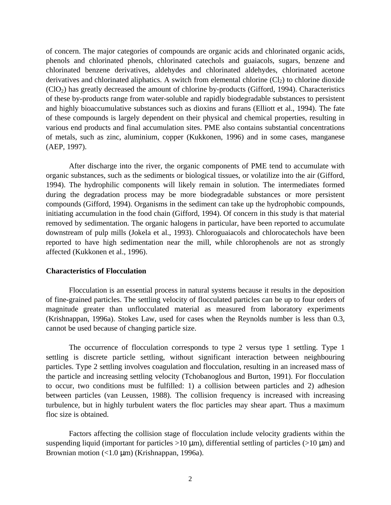of concern. The major categories of compounds are organic acids and chlorinated organic acids, phenols and chlorinated phenols, chlorinated catechols and guaiacols, sugars, benzene and chlorinated benzene derivatives, aldehydes and chlorinated aldehydes, chlorinated acetone derivatives and chlorinated aliphatics. A switch from elemental chlorine  $(Cl<sub>2</sub>)$  to chlorine dioxide (ClO2) has greatly decreased the amount of chlorine by-products (Gifford, 1994). Characteristics of these by-products range from water-soluble and rapidly biodegradable substances to persistent and highly bioaccumulative substances such as dioxins and furans (Elliott et al., 1994). The fate of these compounds is largely dependent on their physical and chemical properties, resulting in various end products and final accumulation sites. PME also contains substantial concentrations of metals, such as zinc, aluminium, copper (Kukkonen, 1996) and in some cases, manganese (AEP, 1997).

After discharge into the river, the organic components of PME tend to accumulate with organic substances, such as the sediments or biological tissues, or volatilize into the air (Gifford, 1994). The hydrophilic components will likely remain in solution. The intermediates formed during the degradation process may be more biodegradable substances or more persistent compounds (Gifford, 1994). Organisms in the sediment can take up the hydrophobic compounds, initiating accumulation in the food chain (Gifford, 1994). Of concern in this study is that material removed by sedimentation. The organic halogens in particular, have been reported to accumulate downstream of pulp mills (Jokela et al., 1993). Chloroguaiacols and chlorocatechols have been reported to have high sedimentation near the mill, while chlorophenols are not as strongly affected (Kukkonen et al., 1996).

#### **Characteristics of Flocculation**

Flocculation is an essential process in natural systems because it results in the deposition of fine-grained particles. The settling velocity of flocculated particles can be up to four orders of magnitude greater than unflocculated material as measured from laboratory experiments (Krishnappan, 1996a). Stokes Law, used for cases when the Reynolds number is less than 0.3, cannot be used because of changing particle size.

The occurrence of flocculation corresponds to type 2 versus type 1 settling. Type 1 settling is discrete particle settling, without significant interaction between neighbouring particles. Type 2 settling involves coagulation and flocculation, resulting in an increased mass of the particle and increasing settling velocity (Tchobanoglous and Burton, 1991). For flocculation to occur, two conditions must be fulfilled: 1) a collision between particles and 2) adhesion between particles (van Leussen, 1988). The collision frequency is increased with increasing turbulence, but in highly turbulent waters the floc particles may shear apart. Thus a maximum floc size is obtained.

Factors affecting the collision stage of flocculation include velocity gradients within the suspending liquid (important for particles  $>10 \mu$ m), differential settling of particles ( $>10 \mu$ m) and Brownian motion  $\left($ <1.0  $\mu$ m) (Krishnappan, 1996a).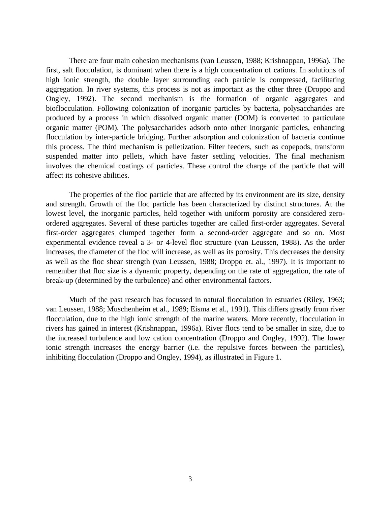There are four main cohesion mechanisms (van Leussen, 1988; Krishnappan, 1996a). The first, salt flocculation, is dominant when there is a high concentration of cations. In solutions of high ionic strength, the double layer surrounding each particle is compressed, facilitating aggregation. In river systems, this process is not as important as the other three (Droppo and Ongley, 1992). The second mechanism is the formation of organic aggregates and bioflocculation. Following colonization of inorganic particles by bacteria, polysaccharides are produced by a process in which dissolved organic matter (DOM) is converted to particulate organic matter (POM). The polysaccharides adsorb onto other inorganic particles, enhancing flocculation by inter-particle bridging. Further adsorption and colonization of bacteria continue this process. The third mechanism is pelletization. Filter feeders, such as copepods, transform suspended matter into pellets, which have faster settling velocities. The final mechanism involves the chemical coatings of particles. These control the charge of the particle that will affect its cohesive abilities.

The properties of the floc particle that are affected by its environment are its size, density and strength. Growth of the floc particle has been characterized by distinct structures. At the lowest level, the inorganic particles, held together with uniform porosity are considered zeroordered aggregates. Several of these particles together are called first-order aggregates. Several first-order aggregates clumped together form a second-order aggregate and so on. Most experimental evidence reveal a 3- or 4-level floc structure (van Leussen, 1988). As the order increases, the diameter of the floc will increase, as well as its porosity. This decreases the density as well as the floc shear strength (van Leussen, 1988; Droppo et. al., 1997). It is important to remember that floc size is a dynamic property, depending on the rate of aggregation, the rate of break-up (determined by the turbulence) and other environmental factors.

Much of the past research has focussed in natural flocculation in estuaries (Riley, 1963; van Leussen, 1988; Muschenheim et al., 1989; Eisma et al., 1991). This differs greatly from river flocculation, due to the high ionic strength of the marine waters. More recently, flocculation in rivers has gained in interest (Krishnappan, 1996a). River flocs tend to be smaller in size, due to the increased turbulence and low cation concentration (Droppo and Ongley, 1992). The lower ionic strength increases the energy barrier (i.e. the repulsive forces between the particles), inhibiting flocculation (Droppo and Ongley, 1994), as illustrated in Figure 1.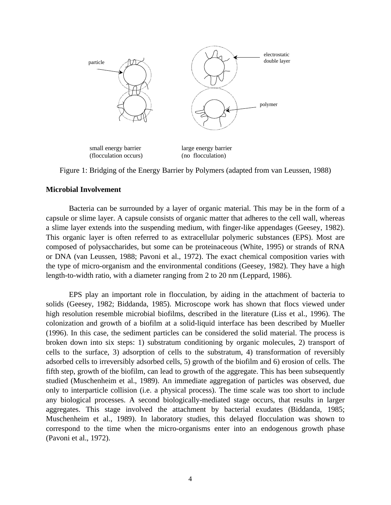

Figure 1: Bridging of the Energy Barrier by Polymers (adapted from van Leussen, 1988)

#### **Microbial Involvement**

Bacteria can be surrounded by a layer of organic material. This may be in the form of a capsule or slime layer. A capsule consists of organic matter that adheres to the cell wall, whereas a slime layer extends into the suspending medium, with finger-like appendages (Geesey, 1982). This organic layer is often referred to as extracellular polymeric substances (EPS). Most are composed of polysaccharides, but some can be proteinaceous (White, 1995) or strands of RNA or DNA (van Leussen, 1988; Pavoni et al., 1972). The exact chemical composition varies with the type of micro-organism and the environmental conditions (Geesey, 1982). They have a high length-to-width ratio, with a diameter ranging from 2 to 20 nm (Leppard, 1986).

EPS play an important role in flocculation, by aiding in the attachment of bacteria to solids (Geesey, 1982; Biddanda, 1985). Microscope work has shown that flocs viewed under high resolution resemble microbial biofilms, described in the literature (Liss et al., 1996). The colonization and growth of a biofilm at a solid-liquid interface has been described by Mueller (1996). In this case, the sediment particles can be considered the solid material. The process is broken down into six steps: 1) substratum conditioning by organic molecules, 2) transport of cells to the surface, 3) adsorption of cells to the substratum, 4) transformation of reversibly adsorbed cells to irreversibly adsorbed cells, 5) growth of the biofilm and 6) erosion of cells. The fifth step, growth of the biofilm, can lead to growth of the aggregate. This has been subsequently studied (Muschenheim et al., 1989). An immediate aggregation of particles was observed, due only to interparticle collision (i.e. a physical process). The time scale was too short to include any biological processes. A second biologically-mediated stage occurs, that results in larger aggregates. This stage involved the attachment by bacterial exudates (Biddanda, 1985; Muschenheim et al., 1989). In laboratory studies, this delayed flocculation was shown to correspond to the time when the micro-organisms enter into an endogenous growth phase (Pavoni et al., 1972).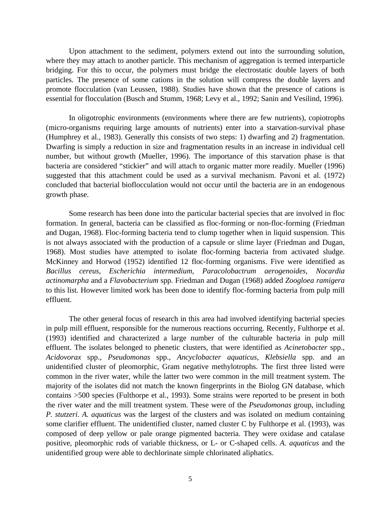Upon attachment to the sediment, polymers extend out into the surrounding solution, where they may attach to another particle. This mechanism of aggregation is termed interparticle bridging. For this to occur, the polymers must bridge the electrostatic double layers of both particles. The presence of some cations in the solution will compress the double layers and promote flocculation (van Leussen, 1988). Studies have shown that the presence of cations is essential for flocculation (Busch and Stumm, 1968; Levy et al., 1992; Sanin and Vesilind, 1996).

In oligotrophic environments (environments where there are few nutrients), copiotrophs (micro-organisms requiring large amounts of nutrients) enter into a starvation-survival phase (Humphrey et al., 1983). Generally this consists of two steps: 1) dwarfing and 2) fragmentation. Dwarfing is simply a reduction in size and fragmentation results in an increase in individual cell number, but without growth (Mueller, 1996). The importance of this starvation phase is that bacteria are considered "stickier" and will attach to organic matter more readily. Mueller (1996) suggested that this attachment could be used as a survival mechanism. Pavoni et al. (1972) concluded that bacterial bioflocculation would not occur until the bacteria are in an endogenous growth phase.

Some research has been done into the particular bacterial species that are involved in floc formation. In general, bacteria can be classified as floc-forming or non-floc-forming (Friedman and Dugan, 1968). Floc-forming bacteria tend to clump together when in liquid suspension. This is not always associated with the production of a capsule or slime layer (Friedman and Dugan, 1968). Most studies have attempted to isolate floc-forming bacteria from activated sludge. McKinney and Horwod (1952) identified 12 floc-forming organisms. Five were identified as *Bacillus cereus*, *Escherichia intermedium*, *Paracolobactrum aerogenoides*, *Nocardia actinomarpha* and a *Flavobacterium* spp. Friedman and Dugan (1968) added *Zoogloea ramigera* to this list. However limited work has been done to identify floc-forming bacteria from pulp mill effluent.

The other general focus of research in this area had involved identifying bacterial species in pulp mill effluent, responsible for the numerous reactions occurring. Recently, Fulthorpe et al. (1993) identified and characterized a large number of the culturable bacteria in pulp mill effluent. The isolates belonged to phenetic clusters, that were identified as *Acinetobacter* spp., *Acidovorax* spp., *Pseudomonas* spp., *Ancyclobacter aquaticus*, *Klebsiella* spp. and an unidentified cluster of pleomorphic, Gram negative methylotrophs. The first three listed were common in the river water, while the latter two were common in the mill treatment system. The majority of the isolates did not match the known fingerprints in the Biolog GN database, which contains >500 species (Fulthorpe et al., 1993). Some strains were reported to be present in both the river water and the mill treatment system. These were of the *Pseudomonas* group, including *P. stutzeri*. *A. aquaticus* was the largest of the clusters and was isolated on medium containing some clarifier effluent. The unidentified cluster, named cluster C by Fulthorpe et al. (1993), was composed of deep yellow or pale orange pigmented bacteria. They were oxidase and catalase positive, pleomorphic rods of variable thickness, or L- or C-shaped cells. *A. aquaticus* and the unidentified group were able to dechlorinate simple chlorinated aliphatics.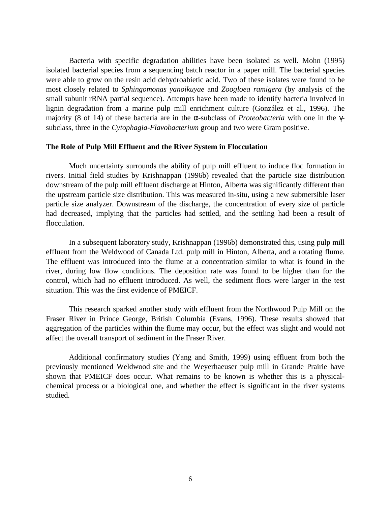Bacteria with specific degradation abilities have been isolated as well. Mohn (1995) isolated bacterial species from a sequencing batch reactor in a paper mill. The bacterial species were able to grow on the resin acid dehydroabietic acid. Two of these isolates were found to be most closely related to *Sphingomonas yanoikuyae* and *Zoogloea ramigera* (by analysis of the small subunit rRNA partial sequence). Attempts have been made to identify bacteria involved in lignin degradation from a marine pulp mill enrichment culture (González et al., 1996). The majority (8 of 14) of these bacteria are in the α-subclass of *Proteobacteria* with one in the γsubclass, three in the *Cytophagia-Flavobacterium* group and two were Gram positive.

#### **The Role of Pulp Mill Effluent and the River System in Flocculation**

Much uncertainty surrounds the ability of pulp mill effluent to induce floc formation in rivers. Initial field studies by Krishnappan (1996b) revealed that the particle size distribution downstream of the pulp mill effluent discharge at Hinton, Alberta was significantly different than the upstream particle size distribution. This was measured in-situ, using a new submersible laser particle size analyzer. Downstream of the discharge, the concentration of every size of particle had decreased, implying that the particles had settled, and the settling had been a result of flocculation.

In a subsequent laboratory study, Krishnappan (1996b) demonstrated this, using pulp mill effluent from the Weldwood of Canada Ltd. pulp mill in Hinton, Alberta, and a rotating flume. The effluent was introduced into the flume at a concentration similar to what is found in the river, during low flow conditions. The deposition rate was found to be higher than for the control, which had no effluent introduced. As well, the sediment flocs were larger in the test situation. This was the first evidence of PMEICF.

This research sparked another study with effluent from the Northwood Pulp Mill on the Fraser River in Prince George, British Columbia (Evans, 1996). These results showed that aggregation of the particles within the flume may occur, but the effect was slight and would not affect the overall transport of sediment in the Fraser River.

Additional confirmatory studies (Yang and Smith, 1999) using effluent from both the previously mentioned Weldwood site and the Weyerhaeuser pulp mill in Grande Prairie have shown that PMEICF does occur. What remains to be known is whether this is a physicalchemical process or a biological one, and whether the effect is significant in the river systems studied.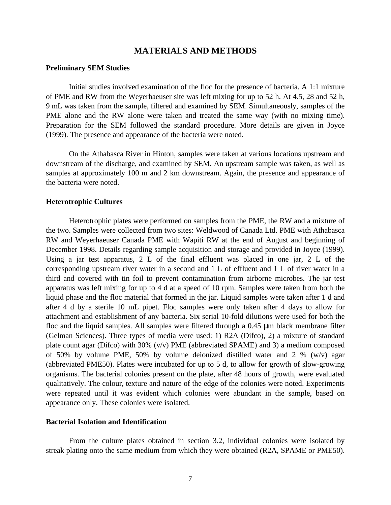#### **MATERIALS AND METHODS**

#### **Preliminary SEM Studies**

Initial studies involved examination of the floc for the presence of bacteria. A 1:1 mixture of PME and RW from the Weyerhaeuser site was left mixing for up to 52 h. At 4.5, 28 and 52 h, 9 mL was taken from the sample, filtered and examined by SEM. Simultaneously, samples of the PME alone and the RW alone were taken and treated the same way (with no mixing time). Preparation for the SEM followed the standard procedure. More details are given in Joyce (1999). The presence and appearance of the bacteria were noted.

On the Athabasca River in Hinton, samples were taken at various locations upstream and downstream of the discharge, and examined by SEM. An upstream sample was taken, as well as samples at approximately 100 m and 2 km downstream. Again, the presence and appearance of the bacteria were noted.

#### **Heterotrophic Cultures**

Heterotrophic plates were performed on samples from the PME, the RW and a mixture of the two. Samples were collected from two sites: Weldwood of Canada Ltd. PME with Athabasca RW and Weyerhaeuser Canada PME with Wapiti RW at the end of August and beginning of December 1998. Details regarding sample acquisition and storage and provided in Joyce (1999). Using a jar test apparatus, 2 L of the final effluent was placed in one jar, 2 L of the corresponding upstream river water in a second and 1 L of effluent and 1 L of river water in a third and covered with tin foil to prevent contamination from airborne microbes. The jar test apparatus was left mixing for up to 4 d at a speed of 10 rpm. Samples were taken from both the liquid phase and the floc material that formed in the jar. Liquid samples were taken after 1 d and after 4 d by a sterile 10 mL pipet. Floc samples were only taken after 4 days to allow for attachment and establishment of any bacteria. Six serial 10-fold dilutions were used for both the floc and the liquid samples. All samples were filtered through a 0.45 μm black membrane filter (Gelman Sciences). Three types of media were used: 1) R2A (Difco), 2) a mixture of standard plate count agar (Difco) with 30% (v/v) PME (abbreviated SPAME) and 3) a medium composed of 50% by volume PME, 50% by volume deionized distilled water and 2 % (w/v) agar (abbreviated PME50). Plates were incubated for up to 5 d, to allow for growth of slow-growing organisms. The bacterial colonies present on the plate, after 48 hours of growth, were evaluated qualitatively. The colour, texture and nature of the edge of the colonies were noted. Experiments were repeated until it was evident which colonies were abundant in the sample, based on appearance only. These colonies were isolated.

#### **Bacterial Isolation and Identification**

From the culture plates obtained in section 3.2, individual colonies were isolated by streak plating onto the same medium from which they were obtained (R2A, SPAME or PME50).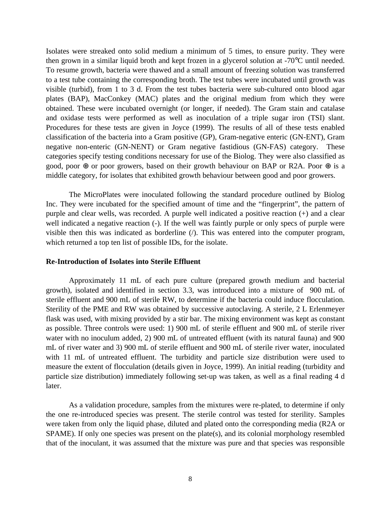Isolates were streaked onto solid medium a minimum of 5 times, to ensure purity. They were then grown in a similar liquid broth and kept frozen in a glycerol solution at -70°C until needed. To resume growth, bacteria were thawed and a small amount of freezing solution was transferred to a test tube containing the corresponding broth. The test tubes were incubated until growth was visible (turbid), from 1 to 3 d. From the test tubes bacteria were sub-cultured onto blood agar plates (BAP), MacConkey (MAC) plates and the original medium from which they were obtained. These were incubated overnight (or longer, if needed). The Gram stain and catalase and oxidase tests were performed as well as inoculation of a triple sugar iron (TSI) slant. Procedures for these tests are given in Joyce (1999). The results of all of these tests enabled classification of the bacteria into a Gram positive (GP), Gram-negative enteric (GN-ENT), Gram negative non-enteric (GN-NENT) or Gram negative fastidious (GN-FAS) category. These categories specify testing conditions necessary for use of the Biolog. They were also classified as good, poor  $\oplus$  or poor growers, based on their growth behaviour on BAP or R2A. Poor  $\oplus$  is a middle category, for isolates that exhibited growth behaviour between good and poor growers.

The MicroPlates were inoculated following the standard procedure outlined by Biolog Inc. They were incubated for the specified amount of time and the "fingerprint", the pattern of purple and clear wells, was recorded. A purple well indicated a positive reaction (+) and a clear well indicated a negative reaction (-). If the well was faintly purple or only specs of purple were visible then this was indicated as borderline  $($ ). This was entered into the computer program, which returned a top ten list of possible IDs, for the isolate.

#### **Re-Introduction of Isolates into Sterile Effluent**

Approximately 11 mL of each pure culture (prepared growth medium and bacterial growth), isolated and identified in section 3.3, was introduced into a mixture of 900 mL of sterile effluent and 900 mL of sterile RW, to determine if the bacteria could induce flocculation. Sterility of the PME and RW was obtained by successive autoclaving. A sterile, 2 L Erlenmeyer flask was used, with mixing provided by a stir bar. The mixing environment was kept as constant as possible. Three controls were used: 1) 900 mL of sterile effluent and 900 mL of sterile river water with no inoculum added, 2) 900 mL of untreated effluent (with its natural fauna) and 900 mL of river water and 3) 900 mL of sterile effluent and 900 mL of sterile river water, inoculated with 11 mL of untreated effluent. The turbidity and particle size distribution were used to measure the extent of flocculation (details given in Joyce, 1999). An initial reading (turbidity and particle size distribution) immediately following set-up was taken, as well as a final reading 4 d later.

As a validation procedure, samples from the mixtures were re-plated, to determine if only the one re-introduced species was present. The sterile control was tested for sterility. Samples were taken from only the liquid phase, diluted and plated onto the corresponding media (R2A or SPAME). If only one species was present on the plate(s), and its colonial morphology resembled that of the inoculant, it was assumed that the mixture was pure and that species was responsible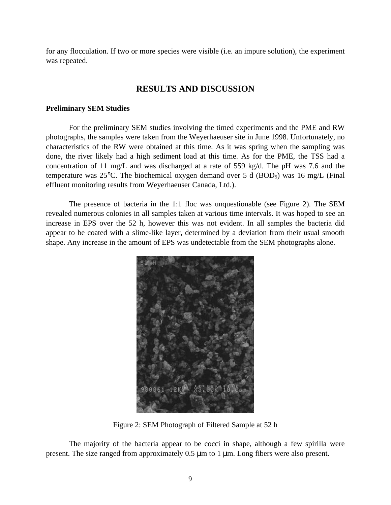for any flocculation. If two or more species were visible (i.e. an impure solution), the experiment was repeated.

#### **RESULTS AND DISCUSSION**

#### **Preliminary SEM Studies**

For the preliminary SEM studies involving the timed experiments and the PME and RW photographs, the samples were taken from the Weyerhaeuser site in June 1998. Unfortunately, no characteristics of the RW were obtained at this time. As it was spring when the sampling was done, the river likely had a high sediment load at this time. As for the PME, the TSS had a concentration of 11 mg/L and was discharged at a rate of 559 kg/d. The pH was 7.6 and the temperature was  $25^{\circ}$ C. The biochemical oxygen demand over 5 d (BOD<sub>5</sub>) was 16 mg/L (Final effluent monitoring results from Weyerhaeuser Canada, Ltd.).

The presence of bacteria in the 1:1 floc was unquestionable (see Figure 2). The SEM revealed numerous colonies in all samples taken at various time intervals. It was hoped to see an increase in EPS over the 52 h, however this was not evident. In all samples the bacteria did appear to be coated with a slime-like layer, determined by a deviation from their usual smooth shape. Any increase in the amount of EPS was undetectable from the SEM photographs alone.



Figure 2: SEM Photograph of Filtered Sample at 52 h

The majority of the bacteria appear to be cocci in shape, although a few spirilla were present. The size ranged from approximately 0.5 μm to 1 μm. Long fibers were also present.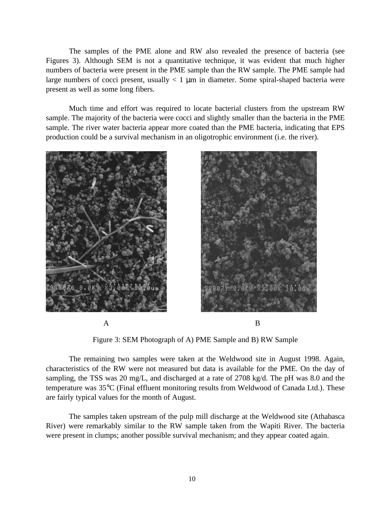The samples of the PME alone and RW also revealed the presence of bacteria (see Figures 3). Although SEM is not a quantitative technique, it was evident that much higher numbers of bacteria were present in the PME sample than the RW sample. The PME sample had large numbers of cocci present, usually  $< 1 \mu m$  in diameter. Some spiral-shaped bacteria were present as well as some long fibers.

Much time and effort was required to locate bacterial clusters from the upstream RW sample. The majority of the bacteria were cocci and slightly smaller than the bacteria in the PME sample. The river water bacteria appear more coated than the PME bacteria, indicating that EPS production could be a survival mechanism in an oligotrophic environment (i.e. the river).





Figure 3: SEM Photograph of A) PME Sample and B) RW Sample

The remaining two samples were taken at the Weldwood site in August 1998. Again, characteristics of the RW were not measured but data is available for the PME. On the day of sampling, the TSS was 20 mg/L, and discharged at a rate of 2708 kg/d. The pH was 8.0 and the temperature was 35°C (Final effluent monitoring results from Weldwood of Canada Ltd.). These are fairly typical values for the month of August.

The samples taken upstream of the pulp mill discharge at the Weldwood site (Athabasca River) were remarkably similar to the RW sample taken from the Wapiti River. The bacteria were present in clumps; another possible survival mechanism; and they appear coated again.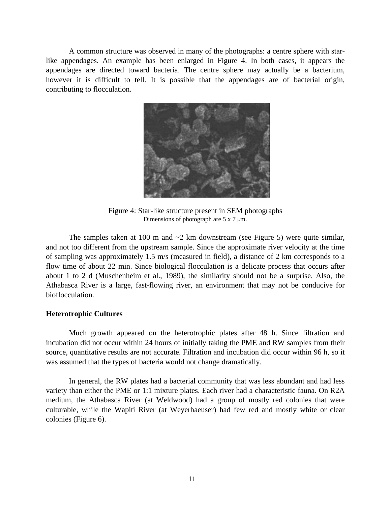A common structure was observed in many of the photographs: a centre sphere with starlike appendages. An example has been enlarged in Figure 4. In both cases, it appears the appendages are directed toward bacteria. The centre sphere may actually be a bacterium, however it is difficult to tell. It is possible that the appendages are of bacterial origin, contributing to flocculation.



Figure 4: Star-like structure present in SEM photographs Dimensions of photograph are 5 x 7 μm.

The samples taken at 100 m and  $\sim$ 2 km downstream (see Figure 5) were quite similar, and not too different from the upstream sample. Since the approximate river velocity at the time of sampling was approximately 1.5 m/s (measured in field), a distance of 2 km corresponds to a flow time of about 22 min. Since biological flocculation is a delicate process that occurs after about 1 to 2 d (Muschenheim et al., 1989), the similarity should not be a surprise. Also, the Athabasca River is a large, fast-flowing river, an environment that may not be conducive for bioflocculation.

#### **Heterotrophic Cultures**

Much growth appeared on the heterotrophic plates after 48 h. Since filtration and incubation did not occur within 24 hours of initially taking the PME and RW samples from their source, quantitative results are not accurate. Filtration and incubation did occur within 96 h, so it was assumed that the types of bacteria would not change dramatically.

In general, the RW plates had a bacterial community that was less abundant and had less variety than either the PME or 1:1 mixture plates. Each river had a characteristic fauna. On R2A medium, the Athabasca River (at Weldwood) had a group of mostly red colonies that were culturable, while the Wapiti River (at Weyerhaeuser) had few red and mostly white or clear colonies (Figure 6).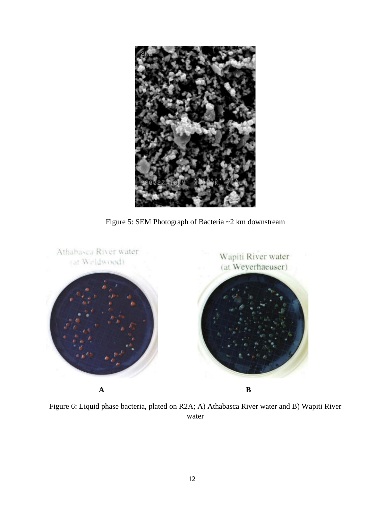

Figure 5: SEM Photograph of Bacteria ~2 km downstream



Figure 6: Liquid phase bacteria, plated on R2A; A) Athabasca River water and B) Wapiti River water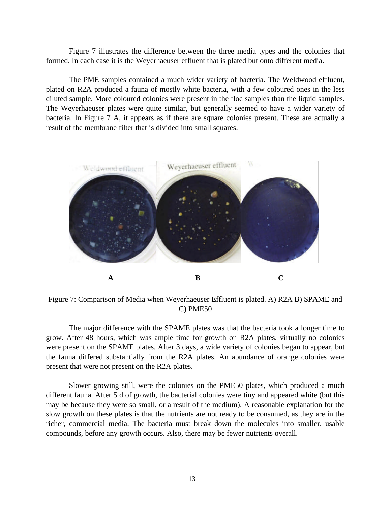Figure 7 illustrates the difference between the three media types and the colonies that formed. In each case it is the Weyerhaeuser effluent that is plated but onto different media.

The PME samples contained a much wider variety of bacteria. The Weldwood effluent, plated on R2A produced a fauna of mostly white bacteria, with a few coloured ones in the less diluted sample. More coloured colonies were present in the floc samples than the liquid samples. The Weyerhaeuser plates were quite similar, but generally seemed to have a wider variety of bacteria. In Figure 7 A, it appears as if there are square colonies present. These are actually a result of the membrane filter that is divided into small squares.



Figure 7: Comparison of Media when Weyerhaeuser Effluent is plated. A) R2A B) SPAME and C) PME50

The major difference with the SPAME plates was that the bacteria took a longer time to grow. After 48 hours, which was ample time for growth on R2A plates, virtually no colonies were present on the SPAME plates. After 3 days, a wide variety of colonies began to appear, but the fauna differed substantially from the R2A plates. An abundance of orange colonies were present that were not present on the R2A plates.

Slower growing still, were the colonies on the PME50 plates, which produced a much different fauna. After 5 d of growth, the bacterial colonies were tiny and appeared white (but this may be because they were so small, or a result of the medium). A reasonable explanation for the slow growth on these plates is that the nutrients are not ready to be consumed, as they are in the richer, commercial media. The bacteria must break down the molecules into smaller, usable compounds, before any growth occurs. Also, there may be fewer nutrients overall.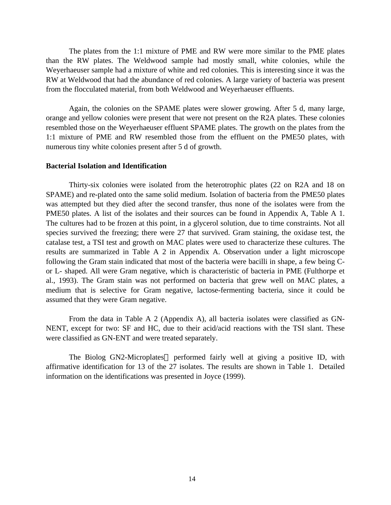The plates from the 1:1 mixture of PME and RW were more similar to the PME plates than the RW plates. The Weldwood sample had mostly small, white colonies, while the Weyerhaeuser sample had a mixture of white and red colonies. This is interesting since it was the RW at Weldwood that had the abundance of red colonies. A large variety of bacteria was present from the flocculated material, from both Weldwood and Weyerhaeuser effluents.

Again, the colonies on the SPAME plates were slower growing. After 5 d, many large, orange and yellow colonies were present that were not present on the R2A plates. These colonies resembled those on the Weyerhaeuser effluent SPAME plates. The growth on the plates from the 1:1 mixture of PME and RW resembled those from the effluent on the PME50 plates, with numerous tiny white colonies present after 5 d of growth.

#### **Bacterial Isolation and Identification**

Thirty-six colonies were isolated from the heterotrophic plates (22 on R2A and 18 on SPAME) and re-plated onto the same solid medium. Isolation of bacteria from the PME50 plates was attempted but they died after the second transfer, thus none of the isolates were from the PME50 plates. A list of the isolates and their sources can be found in Appendix A, Table A 1. The cultures had to be frozen at this point, in a glycerol solution, due to time constraints. Not all species survived the freezing; there were 27 that survived. Gram staining, the oxidase test, the catalase test, a TSI test and growth on MAC plates were used to characterize these cultures. The results are summarized in Table A 2 in Appendix A. Observation under a light microscope following the Gram stain indicated that most of the bacteria were bacilli in shape, a few being Cor L- shaped. All were Gram negative, which is characteristic of bacteria in PME (Fulthorpe et al., 1993). The Gram stain was not performed on bacteria that grew well on MAC plates, a medium that is selective for Gram negative, lactose-fermenting bacteria, since it could be assumed that they were Gram negative.

From the data in Table A 2 (Appendix A), all bacteria isolates were classified as GN-NENT, except for two: SF and HC, due to their acid/acid reactions with the TSI slant. These were classified as GN-ENT and were treated separately.

The Biolog GN2-Microplates<sup> $TM$ </sup> performed fairly well at giving a positive ID, with affirmative identification for 13 of the 27 isolates. The results are shown in Table 1. Detailed information on the identifications was presented in Joyce (1999).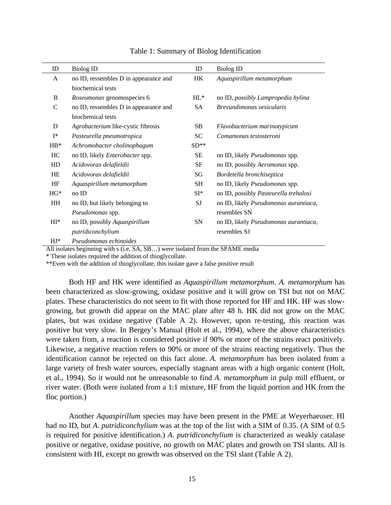| ID             | <b>Biolog ID</b>                      | ID        | <b>Biolog ID</b>                      |
|----------------|---------------------------------------|-----------|---------------------------------------|
| A              | no ID, ressembles D in appearance and | HК        | Aquaspirillum metamorphum             |
|                | biochemical tests                     |           |                                       |
| B              | Roseomonas genomospecies 6            | $HL^*$    | no ID, possibly Lampropedia hylina    |
| $\mathsf{C}$   | no ID, ressembles D in appearance and | <b>SA</b> | Brevundimonas vesicularis             |
|                | biochemical tests                     |           |                                       |
| D              | Agrobacterium like-cystic fibrosis    | SB        | Flavobacterium marinotypicum          |
| $I^*$          | Pasteurella pneumotropica             | SC        | Comamonas testosteroni                |
| $HB^*$         | Achromobacter cholinophagum           | $SD**$    |                                       |
| HC             | no ID, likely Enterobacter spp.       | SЕ        | no ID, likely <i>Pseudomonas</i> spp. |
| HD             | Acidovorax delafieldii                | SF        | no ID, possibly <i>Aeromonas</i> spp. |
| <b>HE</b>      | Acidovorax delafieldii                | SG        | Bordetella bronchiseptica             |
| HF             | Aquaspirillum metamorphum             | SH        | no ID, likely <i>Pseudomonas</i> spp. |
| $HG*$          | noID                                  | $SI^*$    | no ID, possibly Pasteurella trehalosi |
| HH             | no ID, but likely belonging to        | SJ        | no ID, likely Pseudomonas aurantiaca, |
|                | Pseudomonas spp.                      |           | resembles SN                          |
| $\mathbf{H}^*$ | no ID, possibly Aquaspirillum         | SN        | no ID, likely Pseudomonas aurantiaca, |
|                | putridiconchylium                     |           | resembles SJ                          |
| $HI*$          | Pseudomonas echinoides                |           |                                       |

Table 1: Summary of Biolog Identification

All isolates beginning with s (i.e. SA, SB…) were isolated from the SPAME media

\* These isolates required the addition of thioglycollate.

\*\*Even with the addition of thioglycollate, this isolate gave a false positive result

Both HF and HK were identified as *Aquaspirillum metamorphum*. *A. metamorphum* has been characterized as slow-growing, oxidase positive and it will grow on TSI but not on MAC plates. These characteristics do not seem to fit with those reported for HF and HK. HF was slowgrowing, but growth did appear on the MAC plate after 48 h. HK did not grow on the MAC plates, but was oxidase negative (Table A 2). However, upon re-testing, this reaction was positive but very slow. In Bergey's Manual (Holt et al., 1994), where the above characteristics were taken from, a reaction is considered positive if 90% or more of the strains react positively. Likewise, a negative reaction refers to 90% or more of the strains reacting negatively. Thus the identification cannot be rejected on this fact alone. *A. metamorphum* has been isolated from a large variety of fresh water sources, especially stagnant areas with a high organic content (Holt, et al., 1994). So it would not be unreasonable to find *A. metamorphum* in pulp mill effluent, or river water. (Both were isolated from a 1:1 mixture, HF from the liquid portion and HK from the floc portion.)

Another *Aquaspirillum* species may have been present in the PME at Weyerhaeuser. HI had no ID, but *A. putridiconchylium* was at the top of the list with a SIM of 0.35. (A SIM of 0.5 is required for positive identification.) *A. putridiconchylium* is characterized as weakly catalase positive or negative, oxidase positive, no growth on MAC plates and growth on TSI slants. All is consistent with HI, except no growth was observed on the TSI slant (Table A 2).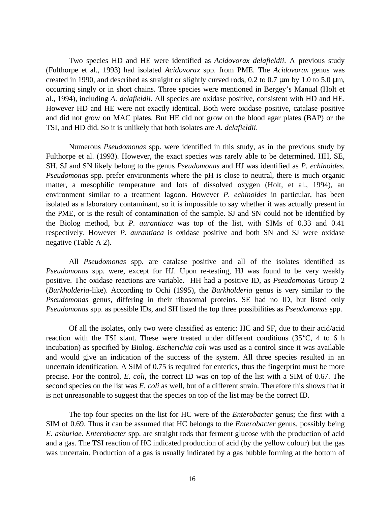Two species HD and HE were identified as *Acidovorax delafieldii*. A previous study (Fulthorpe et al., 1993) had isolated *Acidovorax* spp. from PME. The *Acidovorax* genus was created in 1990, and described as straight or slightly curved rods, 0.2 to 0.7 μm by 1.0 to 5.0 μm, occurring singly or in short chains. Three species were mentioned in Bergey's Manual (Holt et al., 1994), including *A. delafieldii*. All species are oxidase positive, consistent with HD and HE. However HD and HE were not exactly identical. Both were oxidase positive, catalase positive and did not grow on MAC plates. But HE did not grow on the blood agar plates (BAP) or the TSI, and HD did. So it is unlikely that both isolates are *A. delafieldii*.

Numerous *Pseudomonas* spp. were identified in this study, as in the previous study by Fulthorpe et al. (1993). However, the exact species was rarely able to be determined. HH, SE, SH, SJ and SN likely belong to the genus *Pseudomonas* and HJ was identified as *P. echinoides*. *Pseudomonas* spp. prefer environments where the pH is close to neutral, there is much organic matter, a mesophilic temperature and lots of dissolved oxygen (Holt, et al., 1994), an environment similar to a treatment lagoon. However *P. echinoides* in particular, has been isolated as a laboratory contaminant, so it is impossible to say whether it was actually present in the PME, or is the result of contamination of the sample. SJ and SN could not be identified by the Biolog method, but *P. aurantiaca* was top of the list, with SIMs of 0.33 and 0.41 respectively. However *P. aurantiaca* is oxidase positive and both SN and SJ were oxidase negative (Table A 2).

All *Pseudomonas* spp. are catalase positive and all of the isolates identified as *Pseudomonas* spp. were, except for HJ. Upon re-testing, HJ was found to be very weakly positive. The oxidase reactions are variable. HH had a positive ID, as *Pseudomonas* Group 2 (*Burkholderia*-like). According to Ochi (1995), the *Burkholderia* genus is very similar to the *Pseudomonas* genus, differing in their ribosomal proteins. SE had no ID, but listed only *Pseudomonas* spp. as possible IDs, and SH listed the top three possibilities as *Pseudomonas* spp.

Of all the isolates, only two were classified as enteric: HC and SF, due to their acid/acid reaction with the TSI slant. These were treated under different conditions  $(35^{\circ}C, 4 \text{ to } 6 \text{ h})$ incubation) as specified by Biolog. *Escherichia coli* was used as a control since it was available and would give an indication of the success of the system. All three species resulted in an uncertain identification. A SIM of 0.75 is required for enterics, thus the fingerprint must be more precise. For the control, *E. coli*, the correct ID was on top of the list with a SIM of 0.67. The second species on the list was *E. coli* as well, but of a different strain. Therefore this shows that it is not unreasonable to suggest that the species on top of the list may be the correct ID.

The top four species on the list for HC were of the *Enterobacter* genus; the first with a SIM of 0.69. Thus it can be assumed that HC belongs to the *Enterobacter* genus, possibly being *E. asburiae*. *Enterobacter* spp. are straight rods that ferment glucose with the production of acid and a gas. The TSI reaction of HC indicated production of acid (by the yellow colour) but the gas was uncertain. Production of a gas is usually indicated by a gas bubble forming at the bottom of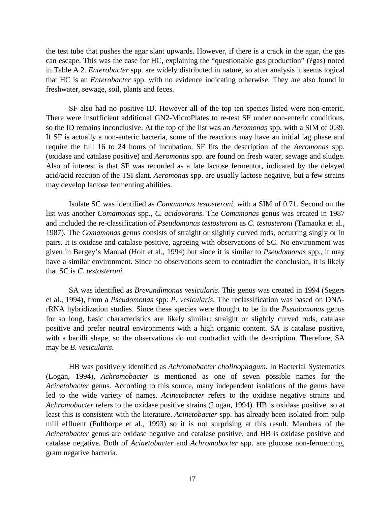the test tube that pushes the agar slant upwards. However, if there is a crack in the agar, the gas can escape. This was the case for HC, explaining the "questionable gas production" (?gas) noted in Table A 2. *Enterobacter* spp. are widely distributed in nature, so after analysis it seems logical that HC is an *Enterobacter* spp. with no evidence indicating otherwise. They are also found in freshwater, sewage, soil, plants and feces.

SF also had no positive ID. However all of the top ten species listed were non-enteric. There were insufficient additional GN2-MicroPlates to re-test SF under non-enteric conditions, so the ID remains inconclusive. At the top of the list was an *Aeromonas* spp. with a SIM of 0.39. If SF is actually a non-enteric bacteria, some of the reactions may have an initial lag phase and require the full 16 to 24 hours of incubation. SF fits the description of the *Aeromonas* spp. (oxidase and catalase positive) and *Aeromonas* spp. are found on fresh water, sewage and sludge. Also of interest is that SF was recorded as a late lactose fermentor, indicated by the delayed acid/acid reaction of the TSI slant. *Aeromonas* spp. are usually lactose negative, but a few strains may develop lactose fermenting abilities.

Isolate SC was identified as *Comamonas testosteroni*, with a SIM of 0.71. Second on the list was another *Comamonas* spp., *C. acidovorans*. The *Comamonas* genus was created in 1987 and included the re-classification of *Pseudomonas testosteroni* as *C. testosteroni* (Tamaoka et al., 1987). The *Comamonas* genus consists of straight or slightly curved rods, occurring singly or in pairs. It is oxidase and catalase positive, agreeing with observations of SC. No environment was given in Bergey's Manual (Holt et al., 1994) but since it is similar to *Pseudomonas* spp., it may have a similar environment. Since no observations seem to contradict the conclusion, it is likely that SC is *C. testosteroni*.

SA was identified as *Brevundimonas vesicularis*. This genus was created in 1994 (Segers et al., 1994), from a *Pseudomonas* spp: *P. vesicularis*. The reclassification was based on DNArRNA hybridization studies. Since these species were thought to be in the *Pseudomonas* genus for so long, basic characteristics are likely similar: straight or slightly curved rods, catalase positive and prefer neutral environments with a high organic content. SA is catalase positive, with a bacilli shape, so the observations do not contradict with the description. Therefore, SA may be *B. vesicularis*.

HB was positively identified as *Achromobacter cholinophagum*. In Bacterial Systematics (Logan, 1994), *Achromobacter* is mentioned as one of seven possible names for the *Acinetobacter* genus. According to this source, many independent isolations of the genus have led to the wide variety of names. *Acinetobacter* refers to the oxidase negative strains and *Achromobacter* refers to the oxidase positive strains (Logan, 1994). HB is oxidase positive, so at least this is consistent with the literature. *Acinetobacter* spp. has already been isolated from pulp mill effluent (Fulthorpe et al., 1993) so it is not surprising at this result. Members of the *Acinetobacter* genus are oxidase negative and catalase positive, and HB is oxidase positive and catalase negative. Both of *Acinetobacter* and *Achromobacter* spp. are glucose non-fermenting, gram negative bacteria.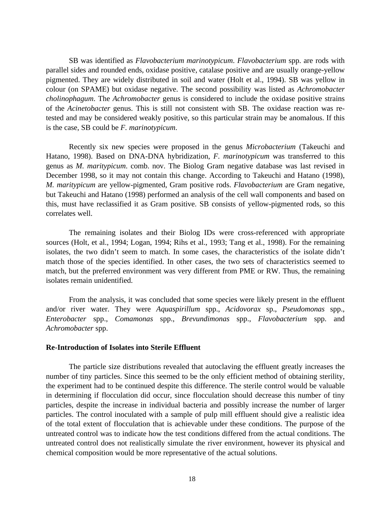SB was identified as *Flavobacterium marinotypicum*. *Flavobacterium* spp. are rods with parallel sides and rounded ends, oxidase positive, catalase positive and are usually orange-yellow pigmented. They are widely distributed in soil and water (Holt et al., 1994). SB was yellow in colour (on SPAME) but oxidase negative. The second possibility was listed as *Achromobacter cholinophagum*. The *Achromobacter* genus is considered to include the oxidase positive strains of the *Acinetobacter* genus. This is still not consistent with SB. The oxidase reaction was retested and may be considered weakly positive, so this particular strain may be anomalous. If this is the case, SB could be *F. marinotypicum*.

Recently six new species were proposed in the genus *Microbacterium* (Takeuchi and Hatano, 1998). Based on DNA-DNA hybridization, *F. marinotypicum* was transferred to this genus as *M. maritypicum*. comb. nov. The Biolog Gram negative database was last revised in December 1998, so it may not contain this change. According to Takeuchi and Hatano (1998), *M. maritypicum* are yellow-pigmented, Gram positive rods. *Flavobacterium* are Gram negative, but Takeuchi and Hatano (1998) performed an analysis of the cell wall components and based on this, must have reclassified it as Gram positive. SB consists of yellow-pigmented rods, so this correlates well.

The remaining isolates and their Biolog IDs were cross-referenced with appropriate sources (Holt, et al., 1994; Logan, 1994; Rihs et al., 1993; Tang et al., 1998). For the remaining isolates, the two didn't seem to match. In some cases, the characteristics of the isolate didn't match those of the species identified. In other cases, the two sets of characteristics seemed to match, but the preferred environment was very different from PME or RW. Thus, the remaining isolates remain unidentified.

From the analysis, it was concluded that some species were likely present in the effluent and/or river water. They were *Aquaspirillum* spp., *Acidovorax* sp., *Pseudomonas* spp., *Enterobacter* spp., *Comamonas* spp., *Brevundimonas* spp., *Flavobacterium* spp. and *Achromobacter* spp.

#### **Re-Introduction of Isolates into Sterile Effluent**

The particle size distributions revealed that autoclaving the effluent greatly increases the number of tiny particles. Since this seemed to be the only efficient method of obtaining sterility, the experiment had to be continued despite this difference. The sterile control would be valuable in determining if flocculation did occur, since flocculation should decrease this number of tiny particles, despite the increase in individual bacteria and possibly increase the number of larger particles. The control inoculated with a sample of pulp mill effluent should give a realistic idea of the total extent of flocculation that is achievable under these conditions. The purpose of the untreated control was to indicate how the test conditions differed from the actual conditions. The untreated control does not realistically simulate the river environment, however its physical and chemical composition would be more representative of the actual solutions.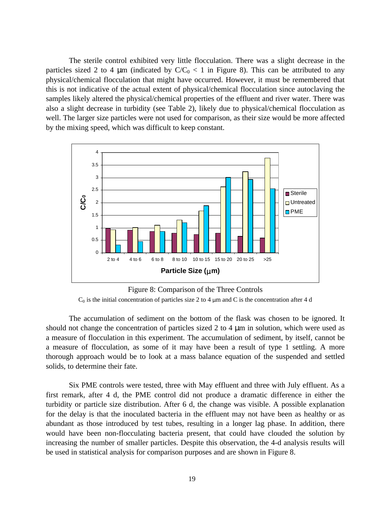The sterile control exhibited very little flocculation. There was a slight decrease in the particles sized 2 to 4  $\mu$ m (indicated by  $C/C_0 < 1$  in Figure 8). This can be attributed to any physical/chemical flocculation that might have occurred. However, it must be remembered that this is not indicative of the actual extent of physical/chemical flocculation since autoclaving the samples likely altered the physical/chemical properties of the effluent and river water. There was also a slight decrease in turbidity (see Table 2), likely due to physical/chemical flocculation as well. The larger size particles were not used for comparison, as their size would be more affected by the mixing speed, which was difficult to keep constant.



Figure 8: Comparison of the Three Controls

 $C_0$  is the initial concentration of particles size 2 to 4  $\mu$ m and C is the concentration after 4 d

The accumulation of sediment on the bottom of the flask was chosen to be ignored. It should not change the concentration of particles sized 2 to 4 μm in solution, which were used as a measure of flocculation in this experiment. The accumulation of sediment, by itself, cannot be a measure of flocculation, as some of it may have been a result of type 1 settling. A more thorough approach would be to look at a mass balance equation of the suspended and settled solids, to determine their fate.

Six PME controls were tested, three with May effluent and three with July effluent. As a first remark, after 4 d, the PME control did not produce a dramatic difference in either the turbidity or particle size distribution. After 6 d, the change was visible. A possible explanation for the delay is that the inoculated bacteria in the effluent may not have been as healthy or as abundant as those introduced by test tubes, resulting in a longer lag phase. In addition, there would have been non-flocculating bacteria present, that could have clouded the solution by increasing the number of smaller particles. Despite this observation, the 4-d analysis results will be used in statistical analysis for comparison purposes and are shown in Figure 8.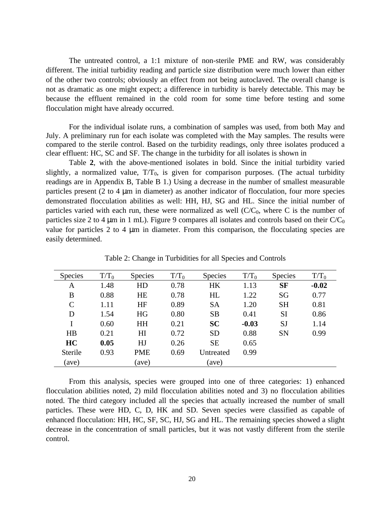The untreated control, a 1:1 mixture of non-sterile PME and RW, was considerably different. The initial turbidity reading and particle size distribution were much lower than either of the other two controls; obviously an effect from not being autoclaved. The overall change is not as dramatic as one might expect; a difference in turbidity is barely detectable. This may be because the effluent remained in the cold room for some time before testing and some flocculation might have already occurred.

For the individual isolate runs, a combination of samples was used, from both May and July. A preliminary run for each isolate was completed with the May samples. The results were compared to the sterile control. Based on the turbidity readings, only three isolates produced a clear effluent: HC, SC and SF. The change in the turbidity for all isolates is shown in

Table **2**, with the above-mentioned isolates in bold. Since the initial turbidity varied slightly, a normalized value,  $T/T_0$ , is given for comparison purposes. (The actual turbidity readings are in Appendix B, Table B 1.) Using a decrease in the number of smallest measurable particles present (2 to 4 μm in diameter) as another indicator of flocculation, four more species demonstrated flocculation abilities as well: HH, HJ, SG and HL. Since the initial number of particles varied with each run, these were normalized as well  $(C/C_0$ , where C is the number of particles size 2 to 4  $\mu$ m in 1 mL). Figure 9 compares all isolates and controls based on their C/C<sub>0</sub> value for particles 2 to 4 μm in diameter. From this comparison, the flocculating species are easily determined.

| <b>Species</b> | $T/T_0$ | <b>Species</b> | $T/T_0$ | <b>Species</b> | $T/T_0$ | <b>Species</b> | $T/T_0$ |
|----------------|---------|----------------|---------|----------------|---------|----------------|---------|
| A              | 1.48    | HD             | 0.78    | <b>HK</b>      | 1.13    | <b>SF</b>      | $-0.02$ |
| B              | 0.88    | HE             | 0.78    | HL             | 1.22    | SG             | 0.77    |
| C              | 1.11    | HF             | 0.89    | <b>SA</b>      | 1.20    | <b>SH</b>      | 0.81    |
| D              | 1.54    | HG             | 0.80    | <b>SB</b>      | 0.41    | <b>SI</b>      | 0.86    |
|                | 0.60    | HH             | 0.21    | <b>SC</b>      | $-0.03$ | <b>SJ</b>      | 1.14    |
| HB             | 0.21    | H <sub>I</sub> | 0.72    | <b>SD</b>      | 0.88    | <b>SN</b>      | 0.99    |
| HC             | 0.05    | HJ             | 0.26    | <b>SE</b>      | 0.65    |                |         |
| <b>Sterile</b> | 0.93    | <b>PME</b>     | 0.69    | Untreated      | 0.99    |                |         |
| (ave)          |         | (ave)          |         | (ave)          |         |                |         |

Table 2: Change in Turbidities for all Species and Controls

From this analysis, species were grouped into one of three categories: 1) enhanced flocculation abilities noted, 2) mild flocculation abilities noted and 3) no flocculation abilities noted. The third category included all the species that actually increased the number of small particles. These were HD, C, D, HK and SD. Seven species were classified as capable of enhanced flocculation: HH, HC, SF, SC, HJ, SG and HL. The remaining species showed a slight decrease in the concentration of small particles, but it was not vastly different from the sterile control.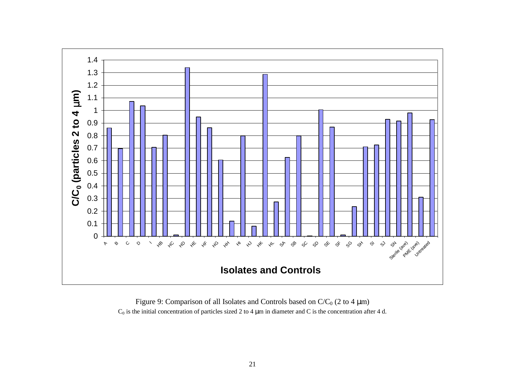

Figure 9: Comparison of all Isolates and Controls based on  $C/C_0$  (2 to 4  $\mu$ m)  $C_0$  is the initial concentration of particles sized 2 to 4  $\mu$ m in diameter and C is the concentration after 4 d.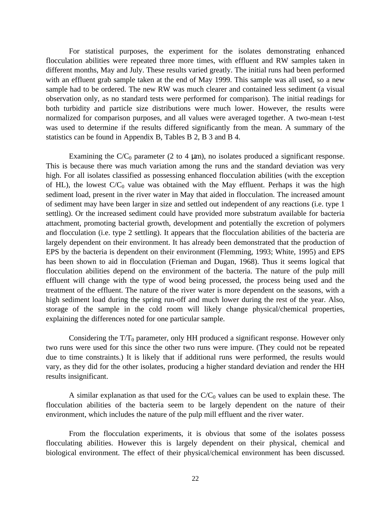For statistical purposes, the experiment for the isolates demonstrating enhanced flocculation abilities were repeated three more times, with effluent and RW samples taken in different months, May and July. These results varied greatly. The initial runs had been performed with an effluent grab sample taken at the end of May 1999. This sample was all used, so a new sample had to be ordered. The new RW was much clearer and contained less sediment (a visual observation only, as no standard tests were performed for comparison). The initial readings for both turbidity and particle size distributions were much lower. However, the results were normalized for comparison purposes, and all values were averaged together. A two-mean t-test was used to determine if the results differed significantly from the mean. A summary of the statistics can be found in Appendix B, Tables B 2, B 3 and B 4.

Examining the C/C<sub>0</sub> parameter (2 to 4  $\mu$ m), no isolates produced a significant response. This is because there was much variation among the runs and the standard deviation was very high. For all isolates classified as possessing enhanced flocculation abilities (with the exception of HL), the lowest  $C/C_0$  value was obtained with the May effluent. Perhaps it was the high sediment load, present in the river water in May that aided in flocculation. The increased amount of sediment may have been larger in size and settled out independent of any reactions (i.e. type 1 settling). Or the increased sediment could have provided more substratum available for bacteria attachment, promoting bacterial growth, development and potentially the excretion of polymers and flocculation (i.e. type 2 settling). It appears that the flocculation abilities of the bacteria are largely dependent on their environment. It has already been demonstrated that the production of EPS by the bacteria is dependent on their environment (Flemming, 1993; White, 1995) and EPS has been shown to aid in flocculation (Frieman and Dugan, 1968). Thus it seems logical that flocculation abilities depend on the environment of the bacteria. The nature of the pulp mill effluent will change with the type of wood being processed, the process being used and the treatment of the effluent. The nature of the river water is more dependent on the seasons, with a high sediment load during the spring run-off and much lower during the rest of the year. Also, storage of the sample in the cold room will likely change physical/chemical properties, explaining the differences noted for one particular sample.

Considering the  $T/T_0$  parameter, only HH produced a significant response. However only two runs were used for this since the other two runs were impure. (They could not be repeated due to time constraints.) It is likely that if additional runs were performed, the results would vary, as they did for the other isolates, producing a higher standard deviation and render the HH results insignificant.

A similar explanation as that used for the  $C/C_0$  values can be used to explain these. The flocculation abilities of the bacteria seem to be largely dependent on the nature of their environment, which includes the nature of the pulp mill effluent and the river water.

From the flocculation experiments, it is obvious that some of the isolates possess flocculating abilities. However this is largely dependent on their physical, chemical and biological environment. The effect of their physical/chemical environment has been discussed.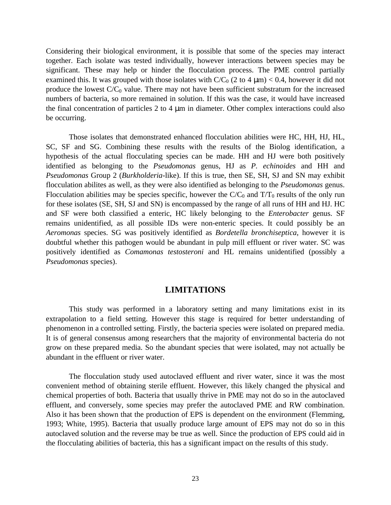Considering their biological environment, it is possible that some of the species may interact together. Each isolate was tested individually, however interactions between species may be significant. These may help or hinder the flocculation process. The PME control partially examined this. It was grouped with those isolates with  $C/C_0$  (2 to 4  $\mu$ m) < 0.4, however it did not produce the lowest  $C/C_0$  value. There may not have been sufficient substratum for the increased numbers of bacteria, so more remained in solution. If this was the case, it would have increased the final concentration of particles 2 to 4 μm in diameter. Other complex interactions could also be occurring.

Those isolates that demonstrated enhanced flocculation abilities were HC, HH, HJ, HL, SC, SF and SG. Combining these results with the results of the Biolog identification, a hypothesis of the actual flocculating species can be made. HH and HJ were both positively identified as belonging to the *Pseudomonas* genus, HJ as *P. echinoides* and HH and *Pseudomonas* Group 2 (*Burkholderia*-like). If this is true, then SE, SH, SJ and SN may exhibit flocculation abilites as well, as they were also identified as belonging to the *Pseudomonas* genus. Flocculation abilities may be species specific, however the  $C/C_0$  and  $T/T_0$  results of the only run for these isolates (SE, SH, SJ and SN) is encompassed by the range of all runs of HH and HJ. HC and SF were both classified a enteric, HC likely belonging to the *Enterobacter* genus. SF remains unidentified, as all possible IDs were non-enteric species. It could possibly be an *Aeromonas* species. SG was positively identified as *Bordetella bronchiseptica*, however it is doubtful whether this pathogen would be abundant in pulp mill effluent or river water. SC was positively identified as *Comamonas testosteroni* and HL remains unidentified (possibly a *Pseudomonas* species).

#### **LIMITATIONS**

This study was performed in a laboratory setting and many limitations exist in its extrapolation to a field setting. However this stage is required for better understanding of phenomenon in a controlled setting. Firstly, the bacteria species were isolated on prepared media. It is of general consensus among researchers that the majority of environmental bacteria do not grow on these prepared media. So the abundant species that were isolated, may not actually be abundant in the effluent or river water.

The flocculation study used autoclaved effluent and river water, since it was the most convenient method of obtaining sterile effluent. However, this likely changed the physical and chemical properties of both. Bacteria that usually thrive in PME may not do so in the autoclaved effluent, and conversely, some species may prefer the autoclaved PME and RW combination. Also it has been shown that the production of EPS is dependent on the environment (Flemming, 1993; White, 1995). Bacteria that usually produce large amount of EPS may not do so in this autoclaved solution and the reverse may be true as well. Since the production of EPS could aid in the flocculating abilities of bacteria, this has a significant impact on the results of this study.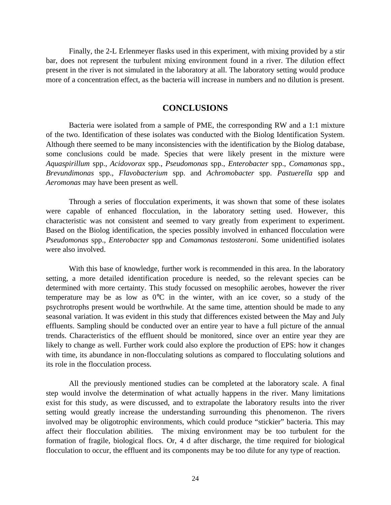Finally, the 2-L Erlenmeyer flasks used in this experiment, with mixing provided by a stir bar, does not represent the turbulent mixing environment found in a river. The dilution effect present in the river is not simulated in the laboratory at all. The laboratory setting would produce more of a concentration effect, as the bacteria will increase in numbers and no dilution is present.

#### **CONCLUSIONS**

Bacteria were isolated from a sample of PME, the corresponding RW and a 1:1 mixture of the two. Identification of these isolates was conducted with the Biolog Identification System. Although there seemed to be many inconsistencies with the identification by the Biolog database, some conclusions could be made. Species that were likely present in the mixture were *Aquaspirillum* spp., *Acidovorax* spp., *Pseudomonas* spp., *Enterobacter* spp., *Comamonas* spp., *Brevundimonas* spp., *Flavobacterium* spp. and *Achromobacter* spp. *Pastuerella* spp and *Aeromonas* may have been present as well.

Through a series of flocculation experiments, it was shown that some of these isolates were capable of enhanced flocculation, in the laboratory setting used. However, this characteristic was not consistent and seemed to vary greatly from experiment to experiment. Based on the Biolog identification, the species possibly involved in enhanced flocculation were *Pseudomonas* spp., *Enterobacter* spp and *Comamonas testosteroni*. Some unidentified isolates were also involved.

With this base of knowledge, further work is recommended in this area. In the laboratory setting, a more detailed identification procedure is needed, so the relevant species can be determined with more certainty. This study focussed on mesophilic aerobes, however the river temperature may be as low as 0°C in the winter, with an ice cover, so a study of the psychrotrophs present would be worthwhile. At the same time, attention should be made to any seasonal variation. It was evident in this study that differences existed between the May and July effluents. Sampling should be conducted over an entire year to have a full picture of the annual trends. Characteristics of the effluent should be monitored, since over an entire year they are likely to change as well. Further work could also explore the production of EPS: how it changes with time, its abundance in non-flocculating solutions as compared to flocculating solutions and its role in the flocculation process.

All the previously mentioned studies can be completed at the laboratory scale. A final step would involve the determination of what actually happens in the river. Many limitations exist for this study, as were discussed, and to extrapolate the laboratory results into the river setting would greatly increase the understanding surrounding this phenomenon. The rivers involved may be oligotrophic environments, which could produce "stickier" bacteria. This may affect their flocculation abilities. The mixing environment may be too turbulent for the formation of fragile, biological flocs. Or, 4 d after discharge, the time required for biological flocculation to occur, the effluent and its components may be too dilute for any type of reaction.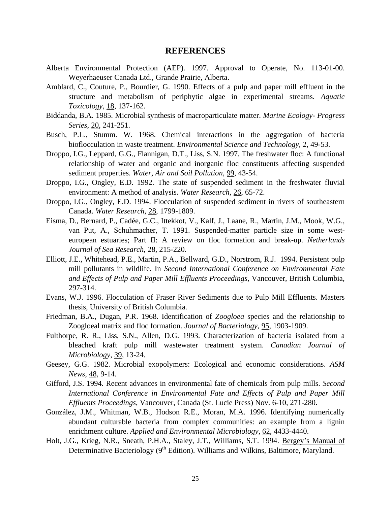#### **REFERENCES**

- Alberta Environmental Protection (AEP). 1997. Approval to Operate, No. 113-01-00. Weyerhaeuser Canada Ltd., Grande Prairie, Alberta.
- Amblard, C., Couture, P., Bourdier, G. 1990. Effects of a pulp and paper mill effluent in the structure and metabolism of periphytic algae in experimental streams. *Aquatic Toxicology*, 18, 137-162.
- Biddanda, B.A. 1985. Microbial synthesis of macroparticulate matter. *Marine Ecology- Progress Series*, 20, 241-251.
- Busch, P.L., Stumm. W. 1968. Chemical interactions in the aggregation of bacteria bioflocculation in waste treatment. *Environmental Science and Technology*, 2, 49-53.
- Droppo, I.G., Leppard, G.G., Flannigan, D.T., Liss, S.N. 1997. The freshwater floc: A functional relationship of water and organic and inorganic floc constituents affecting suspended sediment properties. *Water, Air and Soil Pollution*, 99, 43-54.
- Droppo, I.G., Ongley, E.D. 1992. The state of suspended sediment in the freshwater fluvial environment: A method of analysis. *Water Research*, 26, 65-72.
- Droppo, I.G., Ongley, E.D. 1994. Flocculation of suspended sediment in rivers of southeastern Canada. *Water Research*, 28, 1799-1809.
- Eisma, D., Bernard, P., Cadée, G.C., Ittekkot, V., Kalf, J., Laane, R., Martin, J.M., Mook, W.G., van Put, A., Schuhmacher, T. 1991. Suspended-matter particle size in some westeuropean estuaries; Part II: A review on floc formation and break-up. *Netherlands Journal of Sea Research*, 28, 215-220.
- Elliott, J.E., Whitehead, P.E., Martin, P.A., Bellward, G.D., Norstrom, R.J. 1994. Persistent pulp mill pollutants in wildlife. In *Second International Conference on Environmental Fate and Effects of Pulp and Paper Mill Effluents Proceedings*, Vancouver, British Columbia, 297-314.
- Evans, W.J. 1996. Flocculation of Fraser River Sediments due to Pulp Mill Effluents. Masters thesis, University of British Columbia.
- Friedman, B.A., Dugan, P.R. 1968. Identification of *Zoogloea* species and the relationship to Zoogloeal matrix and floc formation. *Journal of Bacteriology*, 95, 1903-1909.
- Fulthorpe, R. R., Liss, S.N., Allen, D.G. 1993. Characterization of bacteria isolated from a bleached kraft pulp mill wastewater treatment system. *Canadian Journal of Microbiology*, 39, 13-24.
- Geesey, G.G. 1982. Microbial exopolymers: Ecological and economic considerations. *ASM News*, 48, 9-14.
- Gifford, J.S. 1994. Recent advances in environmental fate of chemicals from pulp mills. *Second International Conference in Environmental Fate and Effects of Pulp and Paper Mill Effluents Proceedings*, Vancouver, Canada (St. Lucie Press) Nov. 6-10, 271-280.
- González, J.M., Whitman, W.B., Hodson R.E., Moran, M.A. 1996. Identifying numerically abundant culturable bacteria from complex communities: an example from a lignin enrichment culture. *Applied and Environmental Microbiology*, 62, 4433-4440.
- Holt, J.G., Krieg, N.R., Sneath, P.H.A., Staley, J.T., Williams, S.T. 1994. Bergey's Manual of Determinative Bacteriology  $(9<sup>th</sup> Edition)$ . Williams and Wilkins, Baltimore, Maryland.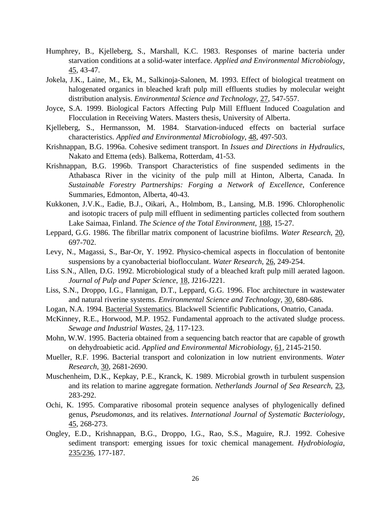- Humphrey, B., Kjelleberg, S., Marshall, K.C. 1983. Responses of marine bacteria under starvation conditions at a solid-water interface. *Applied and Environmental Microbiology*,  $45, 43-47.$
- Jokela, J.K., Laine, M., Ek, M., Salkinoja-Salonen, M. 1993. Effect of biological treatment on halogenated organics in bleached kraft pulp mill effluents studies by molecular weight distribution analysis. *Environmental Science and Technology*, 27, 547-557.
- Joyce, S.A. 1999. Biological Factors Affecting Pulp Mill Effluent Induced Coagulation and Flocculation in Receiving Waters. Masters thesis, University of Alberta.
- Kjelleberg, S., Hermansson, M. 1984. Starvation-induced effects on bacterial surface characteristics. *Applied and Environmental Microbiology*, 48, 497-503.
- Krishnappan, B.G. 1996a. Cohesive sediment transport. In *Issues and Directions in Hydraulics*, Nakato and Ettema (eds). Balkema, Rotterdam, 41-53.
- Krishnappan, B.G. 1996b. Transport Characteristics of fine suspended sediments in the Athabasca River in the vicinity of the pulp mill at Hinton, Alberta, Canada. In *Sustainable Forestry Partnerships: Forging a Network of Excellence*, Conference Summaries, Edmonton, Alberta, 40-43.
- Kukkonen, J.V.K., Eadie, B.J., Oikari, A., Holmbom, B., Lansing, M.B. 1996. Chlorophenolic and isotopic tracers of pulp mill effluent in sedimenting particles collected from southern Lake Saimaa, Finland. *The Science of the Total Environment*, 188, 15-27.
- Leppard, G.G. 1986. The fibrillar matrix component of lacustrine biofilms. *Water Research*, 20, 697-702.
- Levy, N., Magassi, S., Bar-Or, Y. 1992. Physico-chemical aspects in flocculation of bentonite suspensions by a cyanobacterial bioflocculant. *Water Research*, 26, 249-254.
- Liss S.N., Allen, D.G. 1992. Microbiological study of a bleached kraft pulp mill aerated lagoon. *Journal of Pulp and Paper Science*, 18, J216-J221.
- Liss, S.N., Droppo, I.G., Flannigan, D.T., Leppard, G.G. 1996. Floc architecture in wastewater and natural riverine systems. *Environmental Science and Technology*, 30, 680-686.
- Logan, N.A. 1994. Bacterial Systematics. Blackwell Scientific Publications, Onatrio, Canada.
- McKinney, R.E., Horwood, M.P. 1952. Fundamental approach to the activated sludge process. *Sewage and Industrial Wastes*, 24, 117-123.
- Mohn, W.W. 1995. Bacteria obtained from a sequencing batch reactor that are capable of growth on dehydroabietic acid. *Applied and Environmental Microbiology*, 61, 2145-2150.
- Mueller, R.F. 1996. Bacterial transport and colonization in low nutrient environments. *Water Research*, 30, 2681-2690.
- Muschenheim, D.K., Kepkay, P.E., Kranck, K. 1989. Microbial growth in turbulent suspension and its relation to marine aggregate formation. *Netherlands Journal of Sea Research*, 23, 283-292.
- Ochi, K. 1995. Comparative ribosomal protein sequence analyses of phylogenically defined genus, *Pseudomonas*, and its relatives. *International Journal of Systematic Bacteriology*, 45, 268-273.
- Ongley, E.D., Krishnappan, B.G., Droppo, I.G., Rao, S.S., Maguire, R.J. 1992. Cohesive sediment transport: emerging issues for toxic chemical management. *Hydrobiologia*, 235/236, 177-187.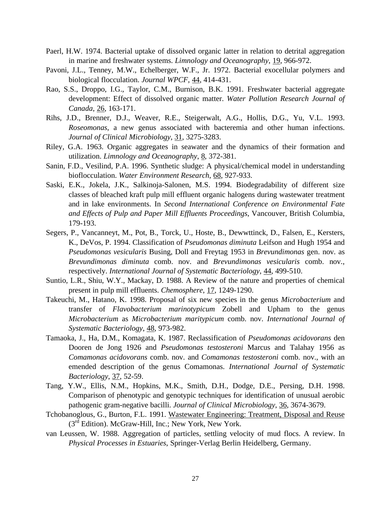- Paerl, H.W. 1974. Bacterial uptake of dissolved organic latter in relation to detrital aggregation in marine and freshwater systems. *Limnology and Oceanography*, 19, 966-972.
- Pavoni, J.L., Tenney, M.W., Echelberger, W.F., Jr. 1972. Bacterial exocellular polymers and biological flocculation. *Journal WPCF*, 44, 414-431.
- Rao, S.S., Droppo, I.G., Taylor, C.M., Burnison, B.K. 1991. Freshwater bacterial aggregate development: Effect of dissolved organic matter. *Water Pollution Research Journal of Canada*, 26, 163-171.
- Rihs, J.D., Brenner, D.J., Weaver, R.E., Steigerwalt, A.G., Hollis, D.G., Yu, V.L. 1993. *Roseomonas*, a new genus associated with bacteremia and other human infections. *Journal of Clinical Microbiology*, 31, 3275-3283.
- Riley, G.A. 1963. Organic aggregates in seawater and the dynamics of their formation and utilization. *Limnology and Oceanography*, 8, 372-381.
- Sanin, F.D., Vesilind, P.A. 1996. Synthetic sludge: A physical/chemical model in understanding bioflocculation. *Water Environment Research*, 68, 927-933.
- Saski, E.K., Jokela, J.K., Salkinoja-Salonen, M.S. 1994. Biodegradability of different size classes of bleached kraft pulp mill effluent organic halogens during wastewater treatment and in lake environments. In *Second International Conference on Environmental Fate and Effects of Pulp and Paper Mill Effluents Proceedings*, Vancouver, British Columbia, 179-193.
- Segers, P., Vancanneyt, M., Pot, B., Torck, U., Hoste, B., Dewwttinck, D., Falsen, E., Kersters, K., DeVos, P. 1994. Classification of *Pseudomonas diminuta* Leifson and Hugh 1954 and *Pseudomonas vesicularis* Busing, Doll and Freytag 1953 in *Brevundimonas* gen. nov. as *Brevundimonas diminuta* comb. nov. and *Brevundimonas vesicularis* comb. nov., respectively. *International Journal of Systematic Bacteriology*, 44, 499-510.
- Suntio, L.R., Shiu, W.Y., Mackay, D. 1988. A Review of the nature and properties of chemical present in pulp mill effluents. *Chemosphere*, 17, 1249-1290.
- Takeuchi, M., Hatano, K. 1998. Proposal of six new species in the genus *Microbacterium* and transfer of *Flavobacterium marinotypicum* Zobell and Upham to the genus *Microbacterium* as *Microbacterium maritypicum* comb. nov. *International Journal of Systematic Bacteriology*, 48, 973-982.
- Tamaoka, J., Ha, D.M., Komagata, K. 1987. Reclassification of *Pseudomonas acidovorans* den Dooren de Jong 1926 and *Pseudomonas testosteroni* Marcus and Talahay 1956 as *Comamonas acidovorans* comb. nov. and *Comamonas testosteroni* comb. nov., with an emended description of the genus Comamonas. *International Journal of Systematic Bacteriology*, 37, 52-59.
- Tang, Y.W., Ellis, N.M., Hopkins, M.K., Smith, D.H., Dodge, D.E., Persing, D.H. 1998. Comparison of phenotypic and genotypic techniques for identification of unusual aerobic pathogenic gram-negative bacilli. *Journal of Clinical Microbiology*, 36, 3674-3679.
- Tchobanoglous, G., Burton, F.L. 1991. Wastewater Engineering: Treatment, Disposal and Reuse (3rd Edition). McGraw-Hill, Inc.; New York, New York.
- van Leussen, W. 1988. Aggregation of particles, settling velocity of mud flocs. A review. In *Physical Processes in Estuaries*, Springer-Verlag Berlin Heidelberg, Germany.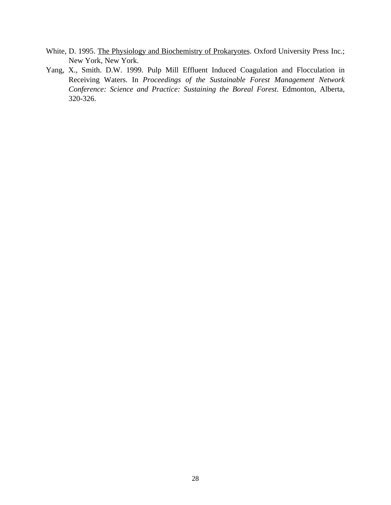- White, D. 1995. The Physiology and Biochemistry of Prokaryotes. Oxford University Press Inc.; New York, New York.
- Yang, X., Smith. D.W. 1999. Pulp Mill Effluent Induced Coagulation and Flocculation in Receiving Waters. In *Proceedings of the Sustainable Forest Management Network Conference: Science and Practice: Sustaining the Boreal Forest*. Edmonton, Alberta, 320-326.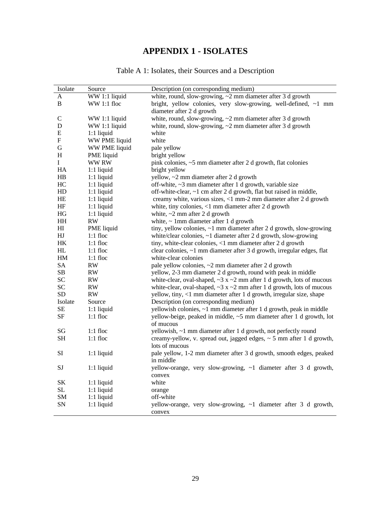## **APPENDIX 1 - ISOLATES**

| Table A 1: Isolates, their Sources and a Description |  |  |  |
|------------------------------------------------------|--|--|--|
|------------------------------------------------------|--|--|--|

| Isolate                  | Source        | Description (on corresponding medium)                                             |
|--------------------------|---------------|-----------------------------------------------------------------------------------|
| A                        | WW 1:1 liquid | white, round, slow-growing, $\sim$ 2 mm diameter after 3 d growth                 |
| B                        | WW 1:1 floc   | bright, yellow colonies, very slow-growing, well-defined, ~1 mm                   |
|                          |               | diameter after 2 d growth                                                         |
| C                        | WW 1:1 liquid | white, round, slow-growing, $\sim$ 2 mm diameter after 3 d growth                 |
| D                        | WW 1:1 liquid | white, round, slow-growing, $\sim$ 2 mm diameter after 3 d growth                 |
| E                        | $1:1$ liquid  | white                                                                             |
| F                        | WW PME liquid | white                                                                             |
| G                        | WW PME liquid | pale yellow                                                                       |
| H                        | PME liquid    | bright yellow                                                                     |
| L                        | <b>WWRW</b>   | pink colonies, ~5 mm diameter after 2 d growth, flat colonies                     |
| HA                       | $1:1$ liquid  | bright yellow                                                                     |
| HB                       | $1:1$ liquid  | yellow, ~2 mm diameter after 2 d growth                                           |
| HC                       | $1:1$ liquid  | off-white, ~3 mm diameter after 1 d growth, variable size                         |
| HD                       | $1:1$ liquid  | off-white-clear, ~1 cm after 2 d growth, flat but raised in middle,               |
| HE                       | $1:1$ liquid  | creamy white, various sizes, <1 mm-2 mm diameter after 2 d growth                 |
| HF                       | $1:1$ liquid  | white, tiny colonies, $<$ 1 mm diameter after 2 d growth                          |
| HG                       | $1:1$ liquid  | white, $\sim$ 2 mm after 2 d growth                                               |
| HH                       | RW            | white, $\sim$ 1mm diameter after 1 d growth                                       |
| HI                       | PME liquid    | tiny, yellow colonies, $\sim$ 1 mm diameter after 2 d growth, slow-growing        |
| ${\rm H\hspace{-.1em}I}$ | $1:1$ floc    | white/clear colonies, $\sim$ 1 diameter after 2 d growth, slow-growing            |
| HK                       | $1:1$ floc    | tiny, white-clear colonies, <1 mm diameter after 2 d growth                       |
| HL                       | $1:1$ floc    | clear colonies, ~1 mm diameter after 3 d growth, irregular edges, flat            |
| HM                       | $1:1$ floc    | white-clear colonies                                                              |
| <b>SA</b>                | RW            | pale yellow colonies, ~2 mm diameter after 2 d growth                             |
| SB.                      | RW            | yellow, 2-3 mm diameter 2 d growth, round with peak in middle                     |
| <b>SC</b>                | RW            | white-clear, oval-shaped, $\sim$ 3 x $\sim$ 2 mm after 1 d growth, lots of mucous |
| <b>SC</b>                | RW            | white-clear, oval-shaped, $\sim$ 3 x $\sim$ 2 mm after 1 d growth, lots of mucous |
| <b>SD</b>                | RW            | yellow, tiny, <1 mm diameter after 1 d growth, irregular size, shape              |
| Isolate                  | Source        | Description (on corresponding medium)                                             |
| <b>SE</b>                | $1:1$ liquid  | yellowish colonies, ~1 mm diameter after 1 d growth, peak in middle               |
| SF                       | $1:1$ floc    | yellow-beige, peaked in middle, ~5 mm diameter after 1 d growth, lot              |
|                          |               | of mucous                                                                         |
| SG                       | $1:1$ floc    | yellowish, ~1 mm diameter after 1 d growth, not perfectly round                   |
| <b>SH</b>                | $1:1$ floc    | creamy-yellow, v. spread out, jagged edges, $\sim$ 5 mm after 1 d growth,         |
|                          |               | lots of mucous                                                                    |
| SI                       | $1:1$ liquid  | pale yellow, 1-2 mm diameter after 3 d growth, smooth edges, peaked               |
|                          |               | in middle                                                                         |
| SJ                       | $1:1$ liquid  | yellow-orange, very slow-growing, ~1 diameter after 3 d growth,                   |
|                          |               | convex                                                                            |
| SK                       | $1:1$ liquid  | white                                                                             |
| SL                       | $1:1$ liquid  | orange                                                                            |
| <b>SM</b>                | $1:1$ liquid  | off-white                                                                         |
| SΝ                       | $1:1$ liquid  | yellow-orange, very slow-growing, ~1 diameter after 3 d growth,                   |
|                          |               | convex                                                                            |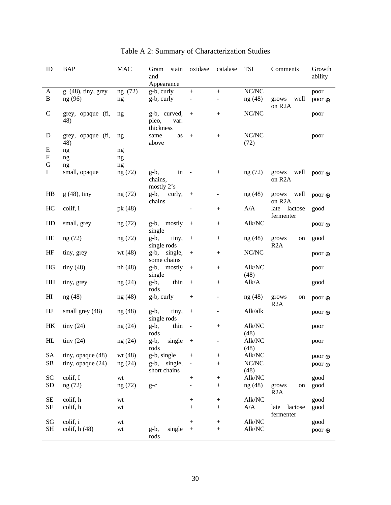| ID             | <b>BAP</b>               | <b>MAC</b> | stain<br>Gram<br>and                       | oxidase                  | catalase         | TSI               | Comments                             | Growth<br>ability |
|----------------|--------------------------|------------|--------------------------------------------|--------------------------|------------------|-------------------|--------------------------------------|-------------------|
|                |                          |            | Appearance                                 |                          |                  |                   |                                      |                   |
| A              | $g(48)$ , tiny, grey     | ng (72)    | g-b, curly                                 | $\boldsymbol{+}$         | $\boldsymbol{+}$ | $\rm N C/\rm N C$ |                                      | poor              |
| $\, {\bf B}$   | ng (96)                  | ng         | g-b, curly                                 |                          |                  | ng(48)            | grows<br>well<br>on R <sub>2</sub> A | poor ⊕            |
| $\mathcal{C}$  | grey, opaque (fi,<br>48) | ng         | g-b, curved,<br>pleo,<br>var.<br>thickness | $^{+}$                   | $^{+}$           | NC/NC             |                                      | poor              |
| D              | grey, opaque (fi,<br>48) | ng         | same<br>as<br>above                        | $^{+}$                   |                  | NC/NC<br>(72)     |                                      | poor              |
| E              | ng                       | ng         |                                            |                          |                  |                   |                                      |                   |
| F              | ng                       | ng         |                                            |                          |                  |                   |                                      |                   |
| G              | ng                       | ng         |                                            |                          |                  |                   |                                      |                   |
| $\mathbf I$    | small, opaque            | ng (72)    | $g-b$ ,<br>in<br>chains,<br>mostly $2's$   | $\sim$ $-$               |                  | ng (72)           | well<br>grows<br>on R <sub>2</sub> A | poor $\oplus$     |
| HB             | $g(48)$ , tiny           | ng (72)    | g-b, curly,<br>chains                      | $^{+}$                   | ÷,               | ng (48)           | well<br>grows<br>on R <sub>2</sub> A | poor $\oplus$     |
| HC             | colif, i                 | pk (48)    |                                            |                          | $^+$             | A/A               | late lactose<br>fermenter            | good              |
| HD             | small, grey              | ng (72)    | g-b, mostly<br>single                      | $^{+}$                   | $\! + \!$        | Alk/NC            |                                      | poor $\oplus$     |
| HE             | ng (72)                  | ng (72)    | tiny,<br>g-b,<br>single rods               | $^{+}$                   | $^{+}$           | ng (48)           | grows<br>on<br>R2A                   | good              |
| HF             | tiny, grey               | wt (48)    | $g-b$ ,<br>single,<br>some chains          | $^{+}$                   | $^{+}$           | NC/NC             |                                      | poor $\oplus$     |
| HG             | tiny $(48)$              | nh (48)    | g-b, mostly<br>single                      | $^{+}$                   | $^{+}$           | Alk/NC<br>(48)    |                                      | poor              |
| HH             | tiny, grey               | ng(24)     | thin<br>$g-b$ ,<br>rods                    | $\boldsymbol{+}$         | $^{+}$           | Alk/A             |                                      | good              |
| H <sub>I</sub> | ng(48)                   | ng(48)     | g-b, curly                                 | $^{+}$                   | -                | ng (48)           | grows<br>on<br>R2A                   | poor $\oplus$     |
| HJ             | small grey (48)          | ng(48)     | $g-b$ ,<br>tiny,<br>single rods            | $^{+}$                   |                  | Alk/alk           |                                      | poor $\oplus$     |
| HK             | tiny(24)                 | ng(24)     | thin<br>g-b,                               | $\sim$ $-$               | $+$              | Alk/NC            |                                      | poor              |
|                |                          |            | rods                                       |                          |                  | (48)              |                                      |                   |
| HL             | tiny(24)                 | ng(24)     | g-b,<br>single                             | $+$                      |                  | Alk/NC            |                                      | poor              |
|                |                          |            | rods                                       |                          |                  | (48)              |                                      |                   |
| <b>SA</b>      | tiny, opaque (48)        | wt $(48)$  | g-b, single                                | $\boldsymbol{+}$         | $^{+}$           | Alk/NC            |                                      | poor $\oplus$     |
| SB             | tiny, opaque (24)        | ng (24)    | g-b,<br>single,<br>short chains            |                          | $^{+}$           | NC/NC<br>(48)     |                                      | poor $\oplus$     |
| <b>SC</b>      | colif, I                 | wt         |                                            | $\! + \!$                | $^{+}$           | Alk/NC            |                                      | good              |
| SD             | ng (72)                  | ng (72)    | $g-c$                                      | $\overline{\phantom{0}}$ | $\! + \!$        | ng (48)           | grows<br>on<br>R <sub>2</sub> A      | good              |
| $\rm SE$       | colif, h                 | wt         |                                            |                          |                  | Alk/NC            |                                      | good              |
| <b>SF</b>      | colif, h                 | wt         |                                            | $\boldsymbol{+}$         | $\! + \!$        | A/A               | late<br>lactose<br>fermenter         | good              |
| SG             | colif, i                 | wt         |                                            | $^{+}$                   |                  | Alk/NC            |                                      | good              |
| <b>SH</b>      | colif, $h(48)$           | wt         | single<br>g-b,                             | $\! + \!$                | $\! + \!$        | Alk/NC            |                                      | poor $\oplus$     |
|                |                          |            | rods                                       |                          |                  |                   |                                      |                   |

Table A 2: Summary of Characterization Studies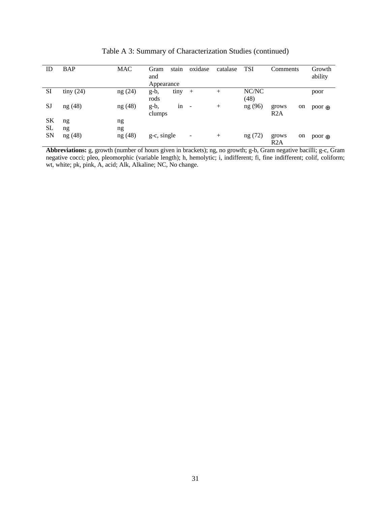| ID        | <b>BAP</b> | MAC     | Gram        | stain | oxidase        | catalase | <b>TSI</b> | Comments |    | Growth        |
|-----------|------------|---------|-------------|-------|----------------|----------|------------|----------|----|---------------|
|           |            |         | and         |       |                |          |            |          |    | ability       |
|           |            |         | Appearance  |       |                |          |            |          |    |               |
| <b>SI</b> | tiny(24)   | ng(24)  | $g-b$ ,     | tiny  | $+$            | $^{+}$   | NC/NC      |          |    | poor          |
|           |            |         | rods        |       |                |          | (48)       |          |    |               |
| <b>SJ</b> | ng(48)     | ng(48)  | $g-b$ ,     | in    | $\overline{a}$ | $^{+}$   | ng (96)    | grows    | on | poor $\oplus$ |
|           |            |         | clumps      |       |                |          |            | R2A      |    |               |
| <b>SK</b> | ng         | ng      |             |       |                |          |            |          |    |               |
| <b>SL</b> | ng         | ng      |             |       |                |          |            |          |    |               |
| <b>SN</b> | ng (48)    | ng (48) | g-c, single |       | -              | $^{+}$   | ng (72)    | grows    | on | poor $\oplus$ |
|           |            |         |             |       |                |          |            | R2A      |    |               |

Table A 3: Summary of Characterization Studies (continued)

**Abbreviations:** g, growth (number of hours given in brackets); ng, no growth; g-b, Gram negative bacilli; g-c, Gram negative cocci; pleo, pleomorphic (variable length); h, hemolytic; i, indifferent; fi, fine indifferent; colif, coliform; wt, white; pk, pink, A, acid; Alk, Alkaline; NC, No change.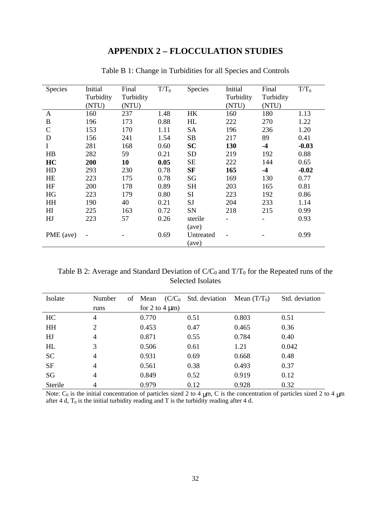### **APPENDIX 2 – FLOCCULATION STUDIES**

| <b>Species</b> | Initial   | Final     | $T/T_0$ | Species   | Initial   | Final     | $T/T_0$ |
|----------------|-----------|-----------|---------|-----------|-----------|-----------|---------|
|                | Turbidity | Turbidity |         |           | Turbidity | Turbidity |         |
|                | (NTU)     | (NTU)     |         |           | (NTU)     | (NTU)     |         |
| $\mathbf{A}$   | 160       | 237       | 1.48    | HK        | 160       | 180       | 1.13    |
| B              | 196       | 173       | 0.88    | HL        | 222       | 270       | 1.22    |
| $\mathsf{C}$   | 153       | 170       | 1.11    | <b>SA</b> | 196       | 236       | 1.20    |
| D              | 156       | 241       | 1.54    | SB        | 217       | 89        | 0.41    |
| I              | 281       | 168       | 0.60    | <b>SC</b> | 130       | $-4$      | $-0.03$ |
| HB             | 282       | 59        | 0.21    | <b>SD</b> | 219       | 192       | 0.88    |
| HC             | 200       | 10        | 0.05    | <b>SE</b> | 222       | 144       | 0.65    |
| HD             | 293       | 230       | 0.78    | <b>SF</b> | 165       | $-4$      | $-0.02$ |
| <b>HE</b>      | 223       | 175       | 0.78    | SG        | 169       | 130       | 0.77    |
| HF             | 200       | 178       | 0.89    | <b>SH</b> | 203       | 165       | 0.81    |
| HG             | 223       | 179       | 0.80    | SI        | 223       | 192       | 0.86    |
| <b>HH</b>      | 190       | 40        | 0.21    | <b>SJ</b> | 204       | 233       | 1.14    |
| H <sub>I</sub> | 225       | 163       | 0.72    | SN        | 218       | 215       | 0.99    |
| HJ             | 223       | 57        | 0.26    | sterile   |           |           | 0.93    |
|                |           |           |         | (ave)     |           |           |         |
| PME (ave)      |           |           | 0.69    | Untreated |           |           | 0.99    |
|                |           |           |         | (ave)     |           |           |         |

Table B 1: Change in Turbidities for all Species and Controls

Table B 2: Average and Standard Deviation of  $C/C_0$  and  $T/T_0$  for the Repeated runs of the Selected Isolates

| Isolate   | Number<br>of   | Mean                | $(C/C_0$ Std. deviation Mean $(T/T_0)$ |       | Std. deviation |
|-----------|----------------|---------------------|----------------------------------------|-------|----------------|
|           | runs           | for 2 to 4 $\mu$ m) |                                        |       |                |
| HC        | 4              | 0.770               | 0.51                                   | 0.803 | 0.51           |
| <b>HH</b> | 2              | 0.453               | 0.47                                   | 0.465 | 0.36           |
| HJ        | $\overline{4}$ | 0.871               | 0.55                                   | 0.784 | 0.40           |
| HL        | 3              | 0.506               | 0.61                                   | 1.21  | 0.042          |
| <b>SC</b> | 4              | 0.931               | 0.69                                   | 0.668 | 0.48           |
| <b>SF</b> | 4              | 0.561               | 0.38                                   | 0.493 | 0.37           |
| SG        | 4              | 0.849               | 0.52                                   | 0.919 | 0.12           |
| Sterile   | 4              | 0.979               | 0.12                                   | 0.928 | 0.32           |

Note:  $C_0$  is the initial concentration of particles sized 2 to 4  $\mu$ m, C is the concentration of particles sized 2 to 4  $\mu$ m after 4 d,  $T_0$  is the initial turbidity reading and T is the turbidity reading after 4 d.